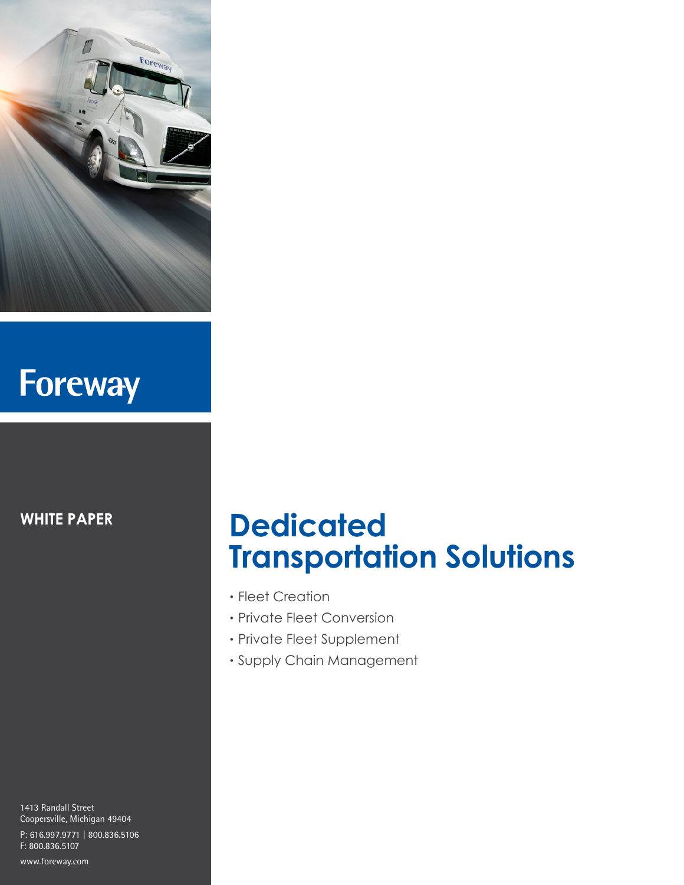

# Foreway

**WHITE PAPER**

1413 Randall Street Coopersville, Michigan 49404 P: 616.997.9771 | 800.836.5106 F: 800.836.5107

#### www.foreway.com

## **Dedicated Transportation Solutions**

- Fleet Creation
- Private Fleet Conversion
- Private Fleet Supplement
- Supply Chain Management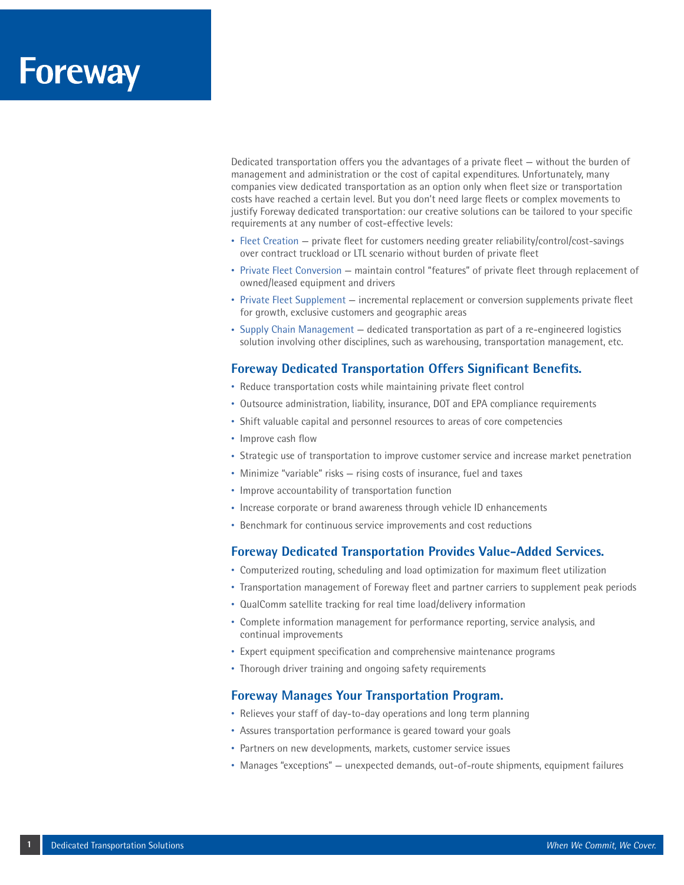### **Foreway**

Dedicated transportation offers you the advantages of a private fleet — without the burden of management and administration or the cost of capital expenditures. Unfortunately, many companies view dedicated transportation as an option only when fleet size or transportation costs have reached a certain level. But you don't need large fleets or complex movements to justify Foreway dedicated transportation: our creative solutions can be tailored to your specific requirements at any number of cost-effective levels:

- Fleet Creation private fleet for customers needing greater reliability/control/cost-savings over contract truckload or LTL scenario without burden of private fleet
- Private Fleet Conversion maintain control "features" of private fleet through replacement of owned/leased equipment and drivers
- Private Fleet Supplement incremental replacement or conversion supplements private fleet for growth, exclusive customers and geographic areas
- Supply Chain Management dedicated transportation as part of a re-engineered logistics solution involving other disciplines, such as warehousing, transportation management, etc.

#### **Foreway Dedicated Transportation Offers Significant Benefits.**

- Reduce transportation costs while maintaining private fleet control
- Outsource administration, liability, insurance, DOT and EPA compliance requirements
- Shift valuable capital and personnel resources to areas of core competencies
- Improve cash flow
- Strategic use of transportation to improve customer service and increase market penetration
- Minimize "variable" risks rising costs of insurance, fuel and taxes
- Improve accountability of transportation function
- Increase corporate or brand awareness through vehicle ID enhancements
- Benchmark for continuous service improvements and cost reductions

#### **Foreway Dedicated Transportation Provides Value-Added Services.**

- Computerized routing, scheduling and load optimization for maximum fleet utilization
- Transportation management of Foreway fleet and partner carriers to supplement peak periods
- QualComm satellite tracking for real time load/delivery information
- Complete information management for performance reporting, service analysis, and continual improvements
- Expert equipment specification and comprehensive maintenance programs
- Thorough driver training and ongoing safety requirements

#### **Foreway Manages Your Transportation Program.**

- Relieves your staff of day-to-day operations and long term planning
- Assures transportation performance is geared toward your goals
- Partners on new developments, markets, customer service issues
- Manages "exceptions" unexpected demands, out-of-route shipments, equipment failures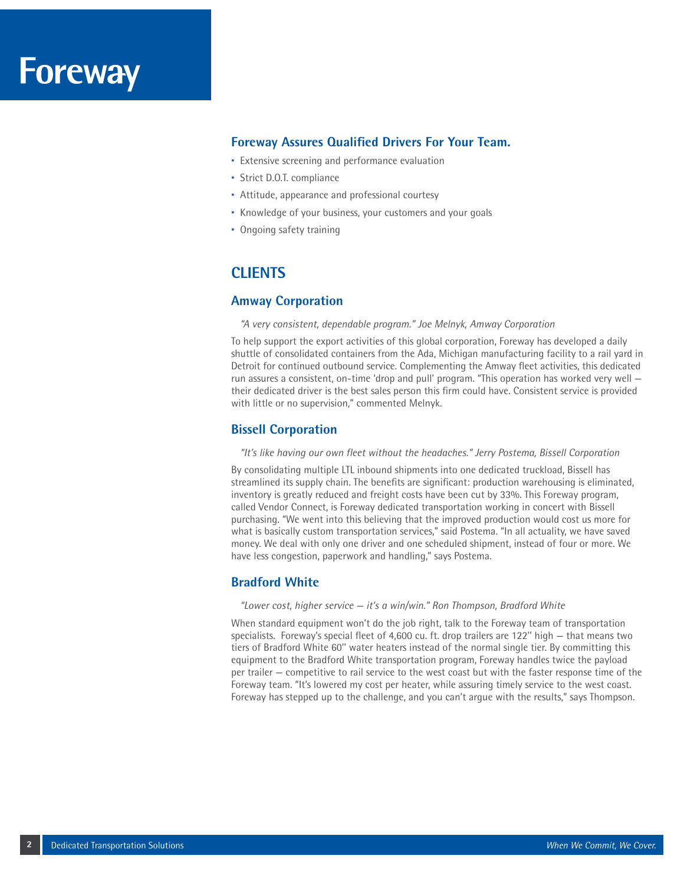#### **Foreway Assures Qualified Drivers For Your Team.**

- Extensive screening and performance evaluation
- Strict D.O.T. compliance
- Attitude, appearance and professional courtesy
- Knowledge of your business, your customers and your goals
- Ongoing safety training

### **CLIENTS**

#### **Amway Corporation**

#### *"A very consistent, dependable program." Joe Melnyk, Amway Corporation*

To help support the export activities of this global corporation, Foreway has developed a daily shuttle of consolidated containers from the Ada, Michigan manufacturing facility to a rail yard in Detroit for continued outbound service. Complementing the Amway fleet activities, this dedicated run assures a consistent, on-time 'drop and pull' program. "This operation has worked very well their dedicated driver is the best sales person this firm could have. Consistent service is provided with little or no supervision," commented Melnyk.

#### **Bissell Corporation**

#### *"It's like having our own fleet without the headaches." Jerry Postema, Bissell Corporation*

By consolidating multiple LTL inbound shipments into one dedicated truckload, Bissell has streamlined its supply chain. The benefits are significant: production warehousing is eliminated, inventory is greatly reduced and freight costs have been cut by 33%. This Foreway program, called Vendor Connect, is Foreway dedicated transportation working in concert with Bissell purchasing. "We went into this believing that the improved production would cost us more for what is basically custom transportation services," said Postema. "In all actuality, we have saved money. We deal with only one driver and one scheduled shipment, instead of four or more. We have less congestion, paperwork and handling," says Postema.

#### **Bradford White**

#### *"Lower cost, higher service — it's a win/win." Ron Thompson, Bradford White*

When standard equipment won't do the job right, talk to the Foreway team of transportation specialists. Foreway's special fleet of 4,600 cu. ft. drop trailers are 122'' high — that means two tiers of Bradford White 60'' water heaters instead of the normal single tier. By committing this equipment to the Bradford White transportation program, Foreway handles twice the payload per trailer — competitive to rail service to the west coast but with the faster response time of the Foreway team. "It's lowered my cost per heater, while assuring timely service to the west coast. Foreway has stepped up to the challenge, and you can't argue with the results," says Thompson.